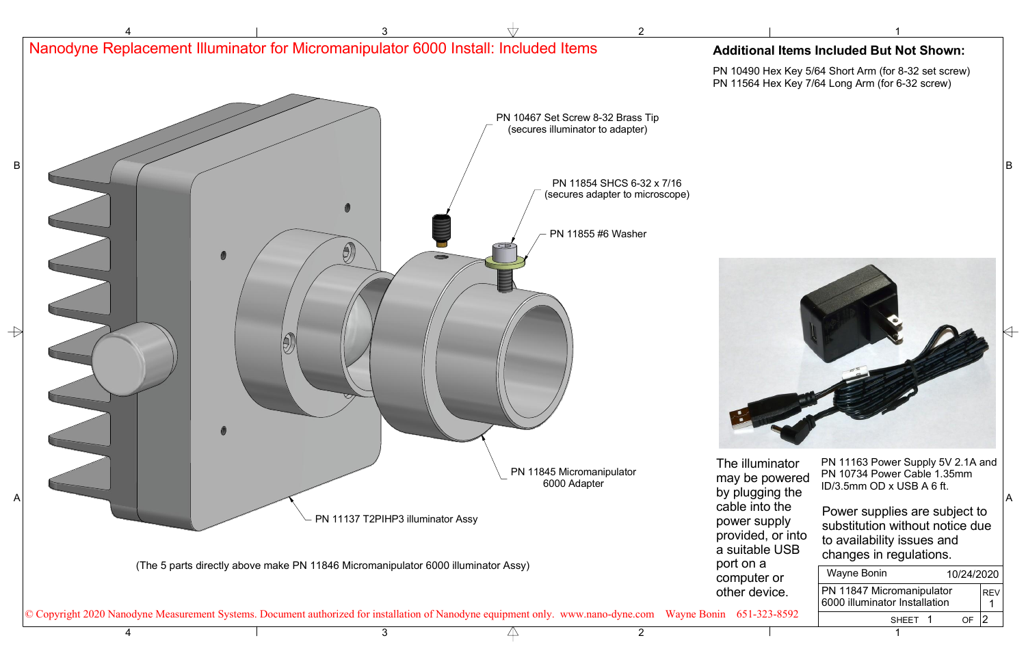

|     | Wayne Bonin                                                |  | 10/24/2020 |            |  |
|-----|------------------------------------------------------------|--|------------|------------|--|
|     | PN 11847 Micromanipulator<br>6000 illuminator Installation |  |            | <b>REV</b> |  |
| 12. | SHEET 1                                                    |  |            |            |  |
|     | $\overline{\phantom{a}}$                                   |  |            |            |  |